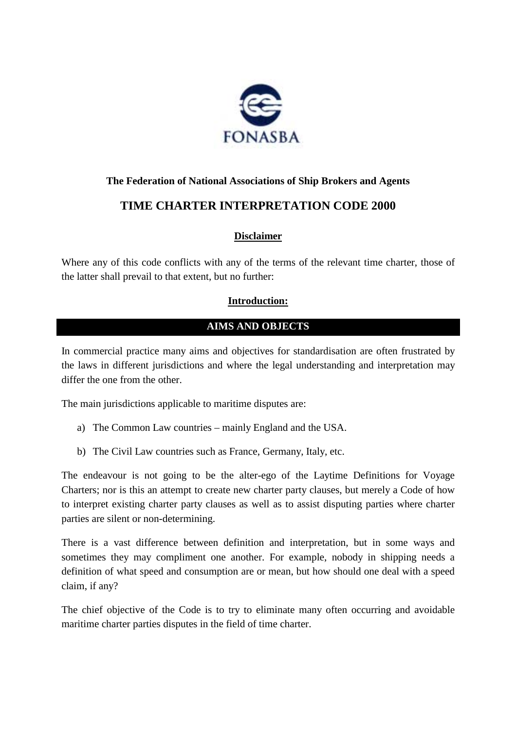

# **The Federation of National Associations of Ship Brokers and Agents**

# **TIME CHARTER INTERPRETATION CODE 2000**

# **Disclaimer**

Where any of this code conflicts with any of the terms of the relevant time charter, those of the latter shall prevail to that extent, but no further:

### **Introduction:**

# **AIMS AND OBJECTS**

In commercial practice many aims and objectives for standardisation are often frustrated by the laws in different jurisdictions and where the legal understanding and interpretation may differ the one from the other.

The main jurisdictions applicable to maritime disputes are:

- a) The Common Law countries mainly England and the USA.
- b) The Civil Law countries such as France, Germany, Italy, etc.

The endeavour is not going to be the alter-ego of the Laytime Definitions for Voyage Charters; nor is this an attempt to create new charter party clauses, but merely a Code of how to interpret existing charter party clauses as well as to assist disputing parties where charter parties are silent or non-determining.

There is a vast difference between definition and interpretation, but in some ways and sometimes they may compliment one another. For example, nobody in shipping needs a definition of what speed and consumption are or mean, but how should one deal with a speed claim, if any?

The chief objective of the Code is to try to eliminate many often occurring and avoidable maritime charter parties disputes in the field of time charter.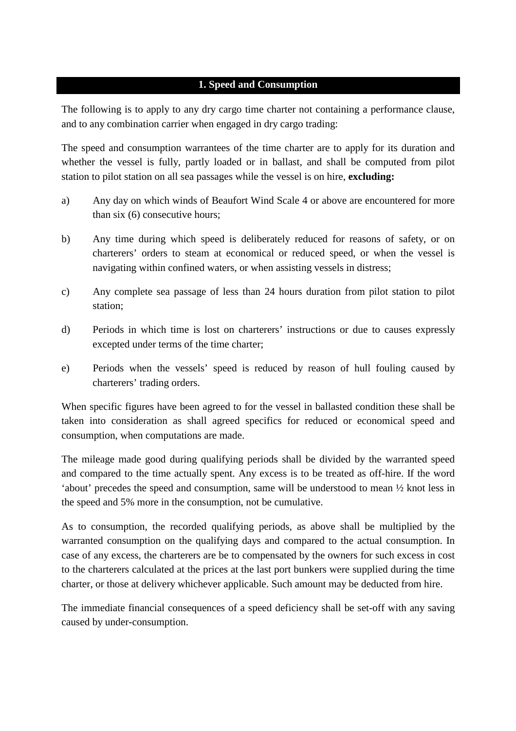#### **1. Speed and Consumption**

The following is to apply to any dry cargo time charter not containing a performance clause, and to any combination carrier when engaged in dry cargo trading:

The speed and consumption warrantees of the time charter are to apply for its duration and whether the vessel is fully, partly loaded or in ballast, and shall be computed from pilot station to pilot station on all sea passages while the vessel is on hire, **excluding:**

- a) Any day on which winds of Beaufort Wind Scale 4 or above are encountered for more than six (6) consecutive hours;
- b) Any time during which speed is deliberately reduced for reasons of safety, or on charterers' orders to steam at economical or reduced speed, or when the vessel is navigating within confined waters, or when assisting vessels in distress;
- c) Any complete sea passage of less than 24 hours duration from pilot station to pilot station;
- d) Periods in which time is lost on charterers' instructions or due to causes expressly excepted under terms of the time charter;
- e) Periods when the vessels' speed is reduced by reason of hull fouling caused by charterers' trading orders.

When specific figures have been agreed to for the vessel in ballasted condition these shall be taken into consideration as shall agreed specifics for reduced or economical speed and consumption, when computations are made.

The mileage made good during qualifying periods shall be divided by the warranted speed and compared to the time actually spent. Any excess is to be treated as off-hire. If the word 'about' precedes the speed and consumption, same will be understood to mean ½ knot less in the speed and 5% more in the consumption, not be cumulative.

As to consumption, the recorded qualifying periods, as above shall be multiplied by the warranted consumption on the qualifying days and compared to the actual consumption. In case of any excess, the charterers are be to compensated by the owners for such excess in cost to the charterers calculated at the prices at the last port bunkers were supplied during the time charter, or those at delivery whichever applicable. Such amount may be deducted from hire.

The immediate financial consequences of a speed deficiency shall be set-off with any saving caused by under-consumption.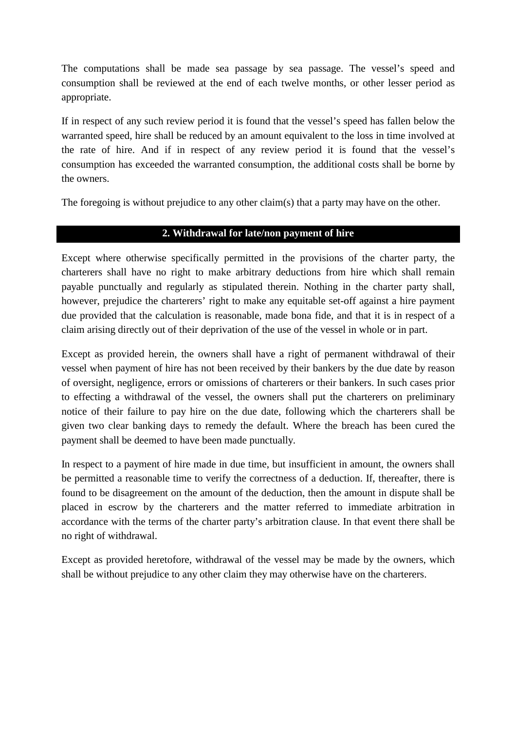The computations shall be made sea passage by sea passage. The vessel's speed and consumption shall be reviewed at the end of each twelve months, or other lesser period as appropriate.

If in respect of any such review period it is found that the vessel's speed has fallen below the warranted speed, hire shall be reduced by an amount equivalent to the loss in time involved at the rate of hire. And if in respect of any review period it is found that the vessel's consumption has exceeded the warranted consumption, the additional costs shall be borne by the owners.

The foregoing is without prejudice to any other claim(s) that a party may have on the other.

### **2. Withdrawal for late/non payment of hire**

Except where otherwise specifically permitted in the provisions of the charter party, the charterers shall have no right to make arbitrary deductions from hire which shall remain payable punctually and regularly as stipulated therein. Nothing in the charter party shall, however, prejudice the charterers' right to make any equitable set-off against a hire payment due provided that the calculation is reasonable, made bona fide, and that it is in respect of a claim arising directly out of their deprivation of the use of the vessel in whole or in part.

Except as provided herein, the owners shall have a right of permanent withdrawal of their vessel when payment of hire has not been received by their bankers by the due date by reason of oversight, negligence, errors or omissions of charterers or their bankers. In such cases prior to effecting a withdrawal of the vessel, the owners shall put the charterers on preliminary notice of their failure to pay hire on the due date, following which the charterers shall be given two clear banking days to remedy the default. Where the breach has been cured the payment shall be deemed to have been made punctually.

In respect to a payment of hire made in due time, but insufficient in amount, the owners shall be permitted a reasonable time to verify the correctness of a deduction. If, thereafter, there is found to be disagreement on the amount of the deduction, then the amount in dispute shall be placed in escrow by the charterers and the matter referred to immediate arbitration in accordance with the terms of the charter party's arbitration clause. In that event there shall be no right of withdrawal.

Except as provided heretofore, withdrawal of the vessel may be made by the owners, which shall be without prejudice to any other claim they may otherwise have on the charterers.